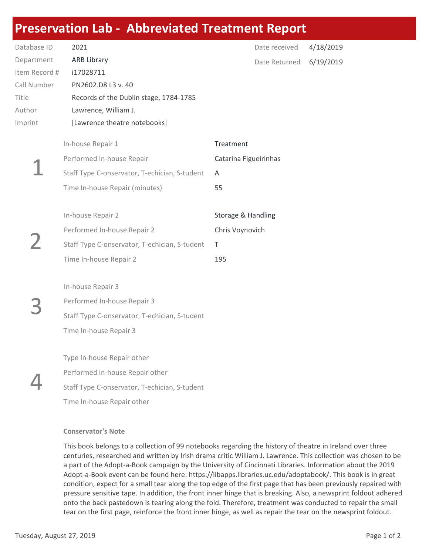## Preservation Lab - Abbreviated Treatment Report

| Database ID   | 2021                                          | Date received         | 4/18/2019 |
|---------------|-----------------------------------------------|-----------------------|-----------|
| Department    | <b>ARB Library</b>                            | Date Returned         | 6/19/2019 |
| Item Record # | i17028711                                     |                       |           |
| Call Number   | PN2602.D8 L3 v. 40                            |                       |           |
| Title         | Records of the Dublin stage, 1784-1785        |                       |           |
| Author        | Lawrence, William J.                          |                       |           |
| Imprint       | [Lawrence theatre notebooks]                  |                       |           |
|               | In-house Repair 1                             | Treatment             |           |
|               | Performed In-house Repair                     | Catarina Figueirinhas |           |
|               | Staff Type C-onservator, T-echician, S-tudent | A                     |           |
|               |                                               |                       |           |
|               | Time In-house Repair (minutes)                | 55                    |           |
|               | In-house Repair 2                             |                       |           |
|               |                                               | Storage & Handling    |           |
|               | Performed In-house Repair 2                   | Chris Voynovich       |           |
|               | Staff Type C-onservator, T-echician, S-tudent | T                     |           |
|               | Time In-house Repair 2                        | 195                   |           |
|               |                                               |                       |           |
|               | In-house Repair 3                             |                       |           |
|               | Performed In-house Repair 3                   |                       |           |
|               | Staff Type C-onservator, T-echician, S-tudent |                       |           |
|               | Time In-house Repair 3                        |                       |           |
|               |                                               |                       |           |
|               | Type In-house Repair other                    |                       |           |
|               | Performed In-house Repair other               |                       |           |
|               | Staff Type C-onservator, T-echician, S-tudent |                       |           |
|               | Time In-house Repair other                    |                       |           |

## Conservator's Note

This book belongs to a collection of 99 notebooks regarding the history of theatre in Ireland over three centuries, researched and written by Irish drama critic William J. Lawrence. This collection was chosen to be a part of the Adopt-a-Book campaign by the University of Cincinnati Libraries. Information about the 2019 Adopt-a-Book event can be found here: https://libapps.libraries.uc.edu/adoptabook/. This book is in great condition, expect for a small tear along the top edge of the first page that has been previously repaired with pressure sensitive tape. In addition, the front inner hinge that is breaking. Also, a newsprint foldout adhered onto the back pastedown is tearing along the fold. Therefore, treatment was conducted to repair the small tear on the first page, reinforce the front inner hinge, as well as repair the tear on the newsprint foldout.